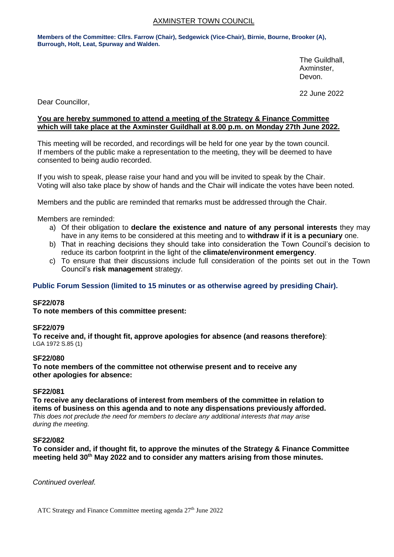# AXMINSTER TOWN COUNCIL

**Members of the Committee: Cllrs. Farrow (Chair), Sedgewick (Vice-Chair), Birnie, Bourne, Brooker (A), Burrough, Holt, Leat, Spurway and Walden.**

> The Guildhall, Axminster, Devon.

22 June 2022

Dear Councillor,

# **You are hereby summoned to attend a meeting of the Strategy & Finance Committee which will take place at the Axminster Guildhall at 8.00 p.m. on Monday 27th June 2022.**

This meeting will be recorded, and recordings will be held for one year by the town council. If members of the public make a representation to the meeting, they will be deemed to have consented to being audio recorded.

If you wish to speak, please raise your hand and you will be invited to speak by the Chair. Voting will also take place by show of hands and the Chair will indicate the votes have been noted.

Members and the public are reminded that remarks must be addressed through the Chair.

Members are reminded:

- a) Of their obligation to **declare the existence and nature of any personal interests** they may have in any items to be considered at this meeting and to **withdraw if it is a pecuniary** one.
- b) That in reaching decisions they should take into consideration the Town Council's decision to reduce its carbon footprint in the light of the **climate/environment emergency**.
- c) To ensure that their discussions include full consideration of the points set out in the Town Council's **risk management** strategy.

# **Public Forum Session (limited to 15 minutes or as otherwise agreed by presiding Chair).**

### **SF22/078**

**To note members of this committee present:**

### **SF22/079**

**To receive and, if thought fit, approve apologies for absence (and reasons therefore)**: LGA 1972 S.85 (1)

### **SF22/080**

**To note members of the committee not otherwise present and to receive any other apologies for absence:**

### **SF22/081**

**To receive any declarations of interest from members of the committee in relation to items of business on this agenda and to note any dispensations previously afforded.**  *This does not preclude the need for members to declare any additional interests that may arise during the meeting.*

### **SF22/082**

**To consider and, if thought fit, to approve the minutes of the Strategy & Finance Committee meeting held 30th May 2022 and to consider any matters arising from those minutes.**

*Continued overleaf.*

ATC Strategy and Finance Committee meeting agenda  $27<sup>th</sup>$  June 2022